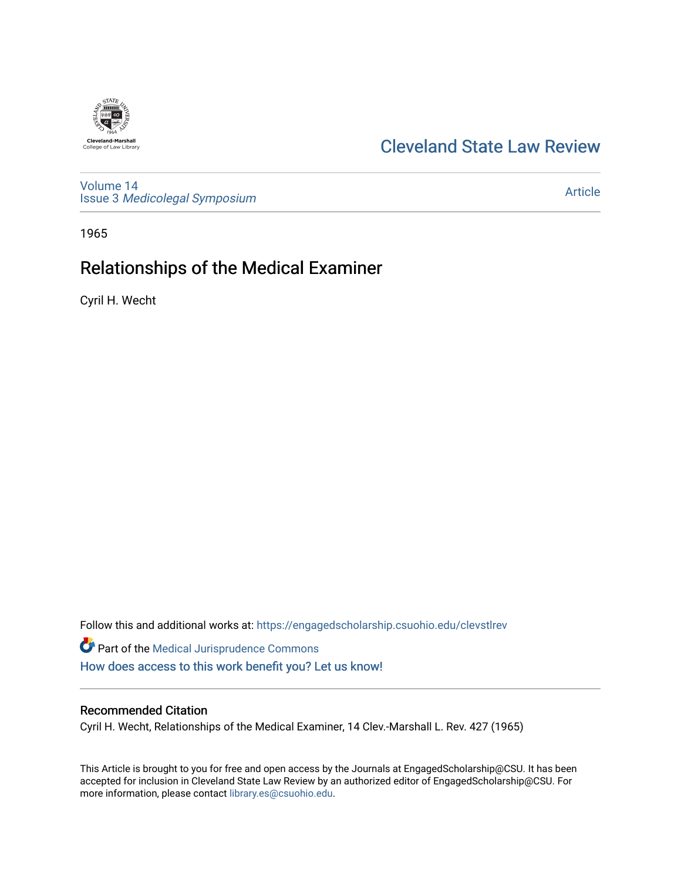## [Cleveland State Law Review](https://engagedscholarship.csuohio.edu/clevstlrev)

[Volume 14](https://engagedscholarship.csuohio.edu/clevstlrev/vol14) Issue 3 [Medicolegal Symposium](https://engagedscholarship.csuohio.edu/clevstlrev/vol14/iss3) 

### [Article](https://engagedscholarship.csuohio.edu/clevstlrev/vol14/iss3/3)

1965

**Cleveland-Marshall**<br>College of Law Library

# Relationships of the Medical Examiner

Cyril H. Wecht

Follow this and additional works at: [https://engagedscholarship.csuohio.edu/clevstlrev](https://engagedscholarship.csuohio.edu/clevstlrev?utm_source=engagedscholarship.csuohio.edu%2Fclevstlrev%2Fvol14%2Fiss3%2F3&utm_medium=PDF&utm_campaign=PDFCoverPages)

Part of the [Medical Jurisprudence Commons](http://network.bepress.com/hgg/discipline/860?utm_source=engagedscholarship.csuohio.edu%2Fclevstlrev%2Fvol14%2Fiss3%2F3&utm_medium=PDF&utm_campaign=PDFCoverPages)  [How does access to this work benefit you? Let us know!](http://library.csuohio.edu/engaged/)

### Recommended Citation

Cyril H. Wecht, Relationships of the Medical Examiner, 14 Clev.-Marshall L. Rev. 427 (1965)

This Article is brought to you for free and open access by the Journals at EngagedScholarship@CSU. It has been accepted for inclusion in Cleveland State Law Review by an authorized editor of EngagedScholarship@CSU. For more information, please contact [library.es@csuohio.edu](mailto:library.es@csuohio.edu).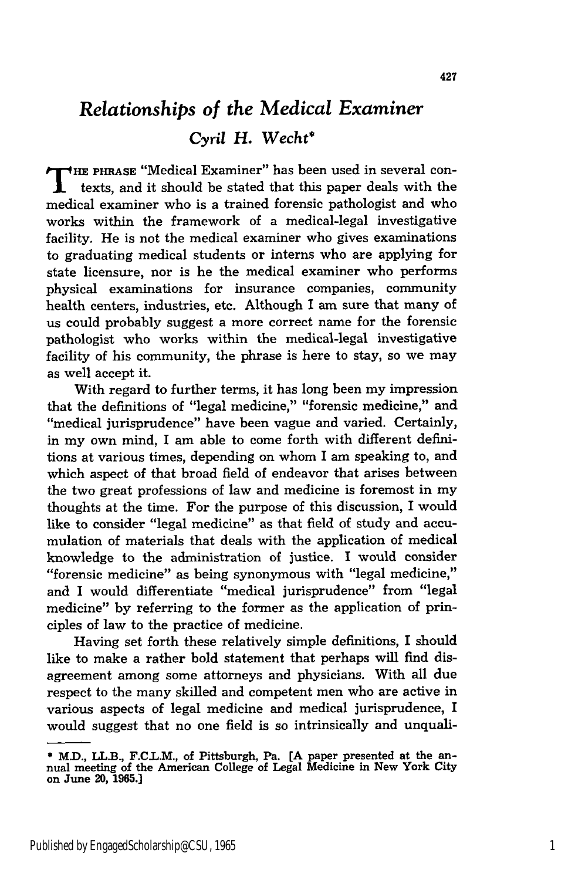## *Relationships of the Medical Examiner Cyril H. Wecht\**

**T HE PHRASE** "Medical Examiner" has been used in several contexts, and it should be stated that this paper deals with the medical examiner who is a trained forensic pathologist and who works within the framework of a medical-legal investigative facility. He is not the medical examiner who gives examinations to graduating medical students or interns who are applying for state licensure, nor is he the medical examiner who performs physical examinations for insurance companies, community health centers, industries, etc. Although I am sure that many of us could probably suggest a more correct name for the forensic pathologist who works within the medical-legal investigative facility of his community, the phrase is here to stay, so we may as well accept it.

With regard to further terms, it has long been my impression that the definitions of "legal medicine," "forensic medicine," and "medical jurisprudence" have been vague and varied. Certainly, in my own mind, I am able to come forth with different definitions at various times, depending on whom I am speaking to, and which aspect of that broad field of endeavor that arises between the two great professions of law and medicine is foremost in my thoughts at the time. For the purpose of this discussion, I would like to consider "legal medicine" as that field of study and accumulation of materials that deals with the application of medical knowledge to the administration of justice. I would consider "forensic medicine" as being synonymous with "legal medicine," and I would differentiate "medical jurisprudence" from "legal medicine" by referring to the former as the application of principles of law to the practice of medicine.

Having set forth these relatively simple definitions, I should like to make a rather bold statement that perhaps will find disagreement among some attorneys and physicians. With all due respect to the many skilled and competent men who are active in various aspects of legal medicine and medical jurisprudence, I would suggest that no one field is so intrinsically and unquali-

<sup>\*</sup> M.D., LL.B., F.C.L.M., of Pittsburgh, Pa. **[A** paper presented at the annual meeting of the American College of Legal Medicine in New York City on June **20, 1965.]**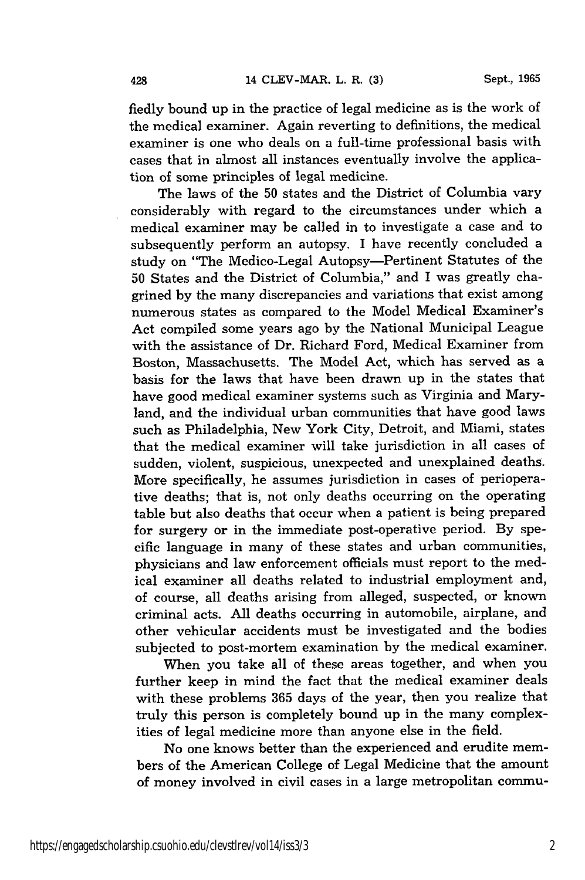fiedly bound up in the practice of legal medicine as is the work of the medical examiner. Again reverting to definitions, the medical examiner is one who deals on a full-time professional basis with cases that in almost all instances eventually involve the application of some principles of legal medicine.

The laws of the 50 states and the District of Columbia vary considerably with regard to the circumstances under which a medical examiner may be called in to investigate a case and to subsequently perform an autopsy. I have recently concluded a study on "The Medico-Legal Autopsy-Pertinent Statutes of the 50 States and the District of Columbia," and I was greatly chagrined by the many discrepancies and variations that exist among numerous states as compared to the Model Medical Examiner's Act compiled some years ago by the National Municipal League with the assistance of Dr. Richard Ford, Medical Examiner from Boston, Massachusetts. The Model Act, which has served as a basis for the laws that have been drawn up in the states that have good medical examiner systems such as Virginia and Maryland, and the individual urban communities that have good laws such as Philadelphia, New York City, Detroit, and Miami, states that the medical examiner will take jurisdiction in all cases of sudden, violent, suspicious, unexpected and unexplained deaths. More specifically, he assumes jurisdiction in cases of perioperative deaths; that is, not only deaths occurring on the operating table but also deaths that occur when a patient is being prepared for surgery or in the immediate post-operative period. By specific language in many of these states and urban communities, physicians and law enforcement officials must report to the medical examiner all deaths related to industrial employment and, of course, all deaths arising from alleged, suspected, or known criminal acts. All deaths occurring in automobile, airplane, and other vehicular accidents must be investigated and the bodies subjected to post-mortem examination by the medical examiner.

When you take all of these areas together, and when you further keep in mind the fact that the medical examiner deals with these problems 365 days of the year, then you realize that truly this person is completely bound up in the many complexities of legal medicine more than anyone else in the field.

No one knows better than the experienced and erudite members of the American College of Legal Medicine that the amount of money involved in civil cases in a large metropolitan commu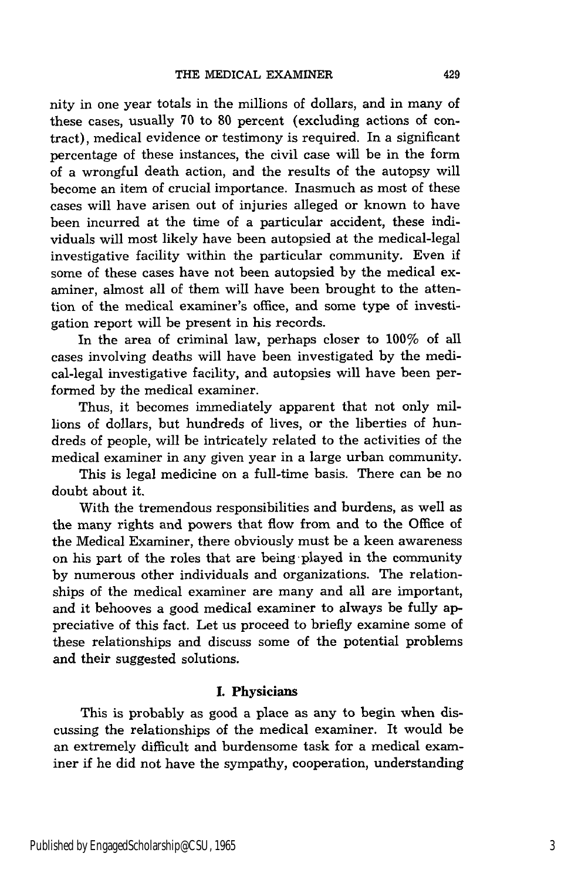nity in one year totals in the millions of dollars, and in many of these cases, usually 70 to 80 percent (excluding actions of contract), medical evidence or testimony is required. In a significant percentage of these instances, the civil case will be in the form of a wrongful death action, and the results of the autopsy will become an item of crucial importance. Inasmuch as most of these cases will have arisen out of injuries alleged or known to have been incurred at the time of a particular accident, these individuals will most likely have been autopsied at the medical-legal investigative facility within the particular community. Even if some of these cases have not been autopsied by the medical examiner, almost all of them will have been brought to the attention of the medical examiner's office, and some type of investigation report will be present in his records.

In the area of criminal law, perhaps closer to 100% of all cases involving deaths will have been investigated by the medical-legal investigative facility, and autopsies will have been performed by the medical examiner.

Thus, it becomes immediately apparent that not only millions of dollars, but hundreds of lives, or the liberties of hundreds of people, will be intricately related to the activities of the medical examiner in any given year in a large urban community.

This is legal medicine on a full-time basis. There can be no doubt about it.

With the tremendous responsibilities and burdens, as well as the many rights and powers that flow from and to the Office of the Medical Examiner, there obviously must be a keen awareness on his part of the roles that are being -played in the community by numerous other individuals and organizations. The relationships of the medical examiner are many and all are important, and it behooves a good medical examiner to always be fully appreciative of this fact. Let us proceed to briefly examine some of these relationships and discuss some of the potential problems and their suggested solutions.

#### **I.** Physicians

This is probably as good a place as any to begin when discussing the relationships of the medical examiner. It would be an extremely difficult and burdensome task for a medical examiner if he did not have the sympathy, cooperation, understanding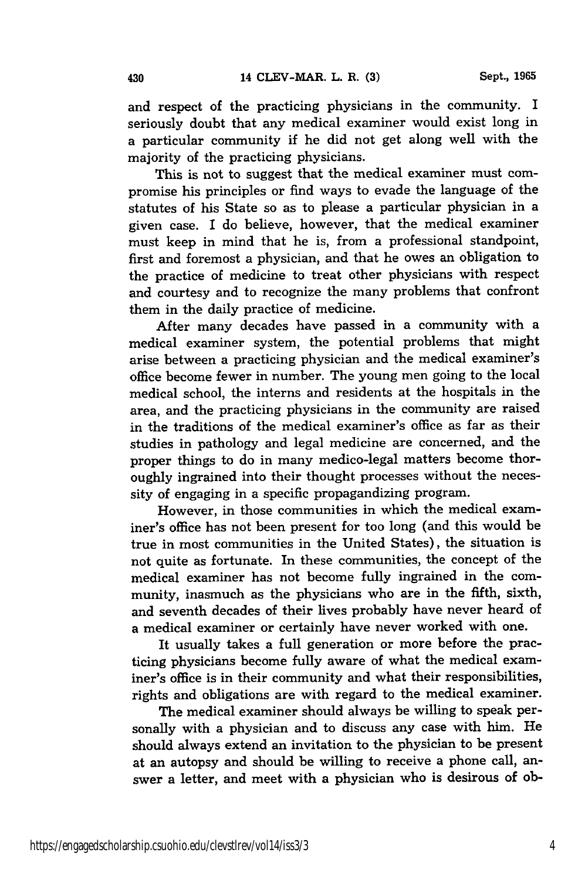and respect of the practicing physicians in the community. I seriously doubt that any medical examiner would exist long in a particular community if he did not get along well with the majority of the practicing physicians.

This is not to suggest that the medical examiner must compromise his principles or find ways to evade the language of the statutes of his State so as to please a particular physician in a given case. I do believe, however, that the medical examiner must keep in mind that he is, from a professional standpoint, first and foremost a physician, and that he owes an obligation to the practice of medicine to treat other physicians with respect and courtesy and to recognize the many problems that confront them in the daily practice of medicine.

After many decades have passed in a community with a medical examiner system, the potential problems that might arise between a practicing physician and the medical examiner's office become fewer in number. The young men going to the local medical school, the interns and residents at the hospitals in the area, and the practicing physicians in the community are raised in the traditions of the medical examiner's office as far as their studies in pathology and legal medicine are concerned, and the proper things to do in many medico-legal matters become thoroughly ingrained into their thought processes without the necessity of engaging in a specific propagandizing program.

However, in those communities in which the medical examiner's office has not been present for too long (and this would be true in most communities in the United States), the situation is not quite as fortunate. In these communities, the concept of the medical examiner has not become fully ingrained in the community, inasmuch as the physicians who are in the fifth, sixth, and seventh decades of their lives probably have never heard of a medical examiner or certainly have never worked with one.

It usually takes a full generation or more before the practicing physicians become fully aware of what the medical examiner's office is in their community and what their responsibilities, rights and obligations are with regard to the medical examiner.

The medical examiner should always be willing to speak personally with a physician and to discuss any case with him. He should always extend an invitation to the physician to be present at an autopsy and should be willing to receive a phone call, answer a letter, and meet with a physician who is desirous of ob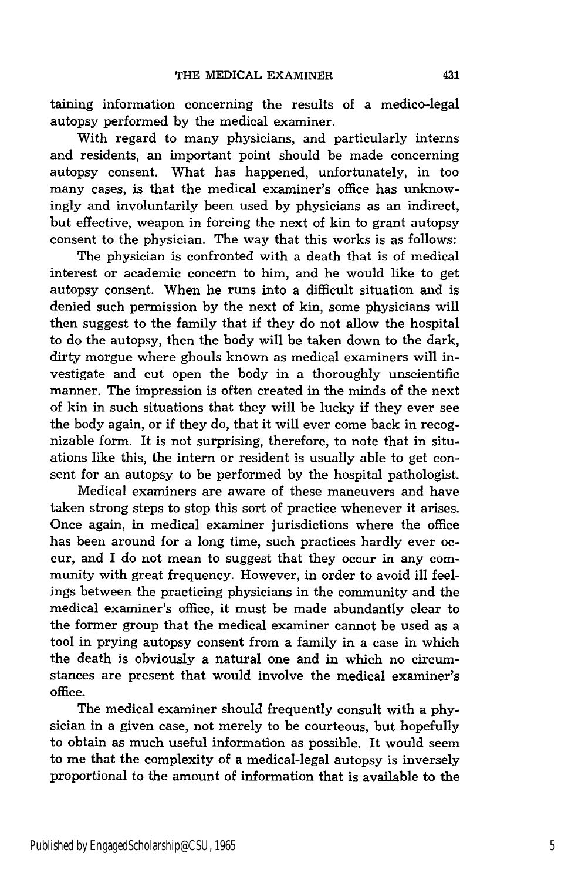taining information concerning the results of a medico-legal autopsy performed by the medical examiner.

With regard to many physicians, and particularly interns and residents, an important point should be made concerning autopsy consent. What has happened, unfortunately, in too many cases, is that the medical examiner's office has unknowingly and involuntarily been used by physicians as an indirect, but effective, weapon in forcing the next of kin to grant autopsy consent to the physician. The way that this works is as follows:

The physician is confronted with a death that is of medical interest or academic concern to him, and he would like to get autopsy consent. When he runs into a difficult situation and is denied such permission by the next of kin, some physicians will then suggest to the family that if they do not allow the hospital to do the autopsy, then the body will be taken down to the dark, dirty morgue where ghouls known as medical examiners will investigate and cut open the body in a thoroughly unscientific manner. The impression is often created in the minds of the next of kin in such situations that they will be lucky if they ever see the body again, or if they do, that it will ever come back in recognizable form. It is not surprising, therefore, to note that in situations like this, the intern or resident is usually able to get consent for an autopsy to be performed by the hospital pathologist.

Medical examiners are aware of these maneuvers and have taken strong steps to stop this sort of practice whenever it arises. Once again, in medical examiner jurisdictions where the office has been around for a long time, such practices hardly ever occur, and I do not mean to suggest that they occur in any community with great frequency. However, in order to avoid ill feelings between the practicing physicians in the community and the medical examiner's office, it must be made abundantly clear to the former group that the medical examiner cannot be used as a tool in prying autopsy consent from a family in a case in which the death is obviously a natural one and in which no circumstances are present that would involve the medical examiner's office.

The medical examiner should frequently consult with a physician in a given case, not merely to be courteous, but hopefully to obtain as much useful information as possible. It would seem to me that the complexity of a medical-legal autopsy is inversely proportional to the amount of information that is available to the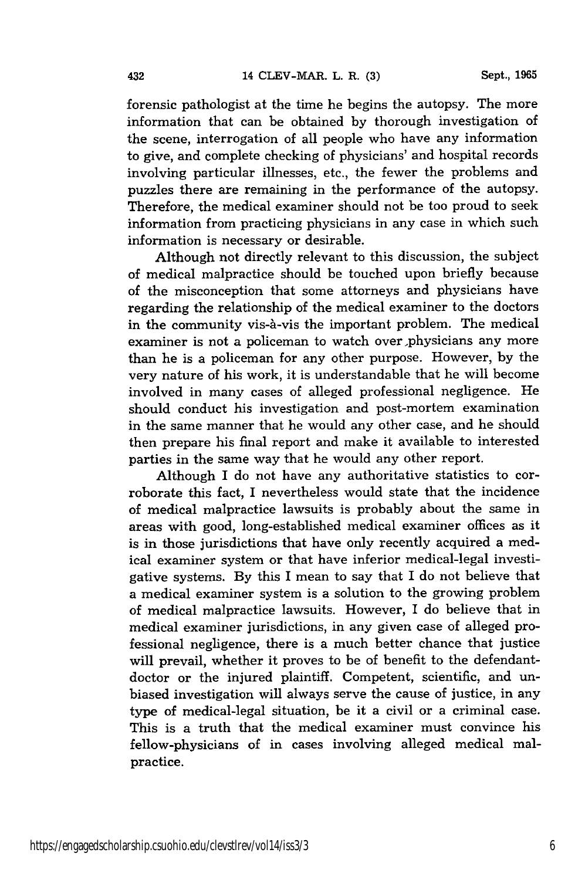forensic pathologist at the time he begins the autopsy. The more information that can be obtained by thorough investigation of the scene, interrogation of all people who have any information to give, and complete checking of physicians' and hospital records involving particular illnesses, etc., the fewer the problems and puzzles there are remaining in the performance of the autopsy. Therefore, the medical examiner should not be too proud to seek information from practicing physicians in any case in which such information is necessary or desirable.

Although not directly relevant to this discussion, the subject of medical malpractice should be touched upon briefly because of the misconception that some attorneys and physicians have regarding the relationship of the medical examiner to the doctors in the community vis-à-vis the important problem. The medical examiner is not a policeman to watch over physicians any more than he is a policeman for any other purpose. However, by the very nature of his work, it is understandable that he will become involved in many cases of alleged professional negligence. He should conduct his investigation and post-mortem examination in the same manner that he would any other case, and he should then prepare his final report and make it available to interested parties in the same way that he would any other report.

Although I do not have any authoritative statistics to corroborate this fact, I nevertheless would state that the incidence of medical malpractice lawsuits is probably about the same in areas with good, long-established medical examiner offices as it is in those jurisdictions that have only recently acquired a medical examiner system or that have inferior medical-legal investigative systems. By this I mean to say that I do not believe that a medical examiner system is a solution to the growing problem of medical malpractice lawsuits. However, I do believe that in medical examiner jurisdictions, in any given case of alleged professional negligence, there is a much better chance that justice will prevail, whether it proves to be of benefit to the defendantdoctor or the injured plaintiff. Competent, scientific, and unbiased investigation will always serve the cause of justice, in any type of medical-legal situation, be it a civil or a criminal case. This is a truth that the medical examiner must convince his fellow-physicians of in cases involving alleged medical malpractice.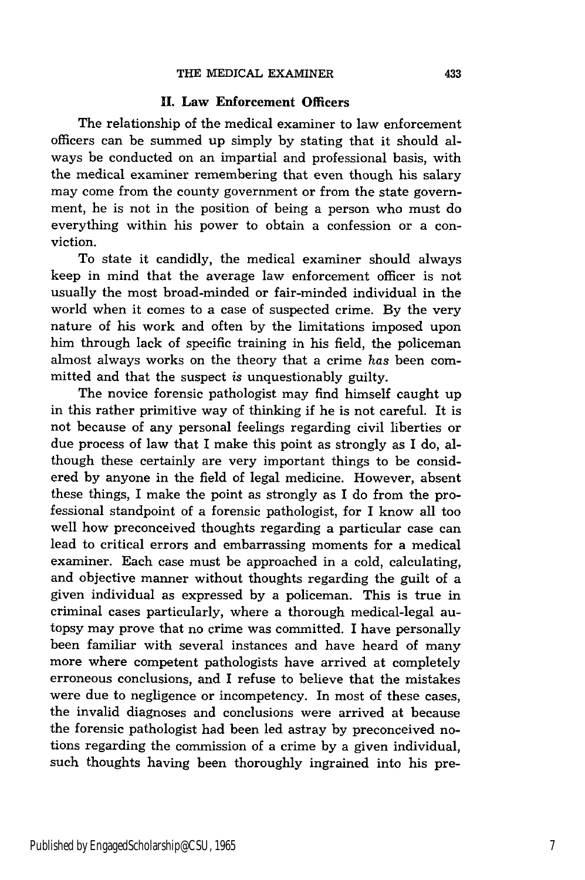#### **11.** Law Enforcement Officers

The relationship of the medical examiner to law enforcement officers can be summed up simply by stating that it should always be conducted on an impartial and professional basis, with the medical examiner remembering that even though his salary may come from the county government or from the state government, he is not in the position of being a person who must do everything within his power to obtain a confession or a conviction.

To state it candidly, the medical examiner should always keep in mind that the average law enforcement officer is not usually the most broad-minded or fair-minded individual in the world when it comes to a case of suspected crime. By the very nature of his work and often by the limitations imposed upon him through lack of specific training in his field, the policeman almost always works on the theory that a crime has been committed and that the suspect is unquestionably guilty.

The novice forensic pathologist may find himself caught up in this rather primitive way of thinking if he is not careful. It is not because of any personal feelings regarding civil liberties or due process of law that I make this point as strongly as I do, although these certainly are very important things to be considered by anyone in the field of legal medicine. However, absent these things, I make the point as strongly as I do from the professional standpoint of a forensic pathologist, for I know all too well how preconceived thoughts regarding a particular case can lead to critical errors and embarrassing moments for a medical examiner. Each case must be approached in a cold, calculating, and objective manner without thoughts regarding the guilt of a given individual as expressed by a policeman. This is true in criminal cases particularly, where a thorough medical-legal autopsy may prove that no crime was committed. I have personally been familiar with several instances and have heard of many more where competent pathologists have arrived at completely erroneous conclusions, and I refuse to believe that the mistakes were due to negligence or incompetency. In most of these cases, the invalid diagnoses and conclusions were arrived at because the forensic pathologist had been led astray by preconceived notions regarding the commission of a crime by a given individual, such thoughts having been thoroughly ingrained into his pre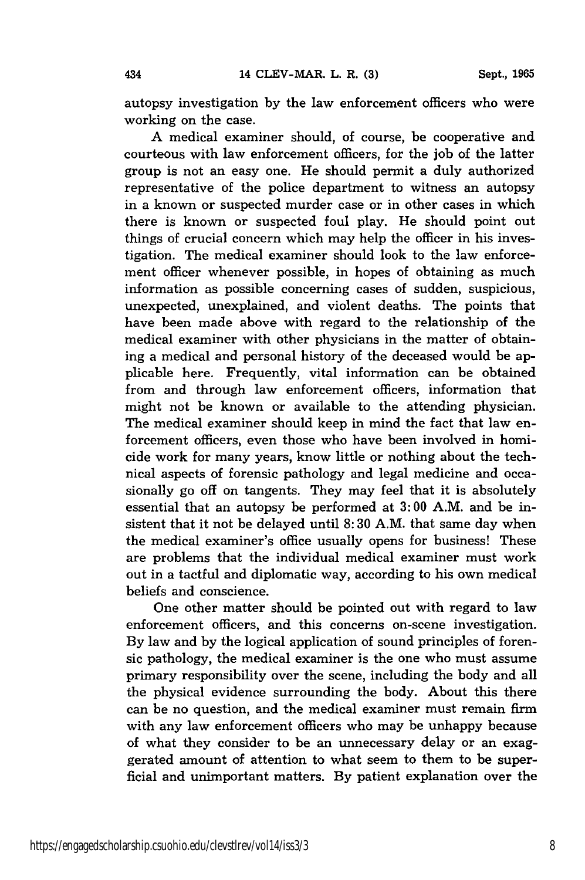autopsy investigation by the law enforcement officers who were working on the case.

A medical examiner should, of course, be cooperative and courteous with law enforcement officers, for the job of the latter group is not an easy one. He should permit a duly authorized representative of the police department to witness an autopsy in a known or suspected murder case or in other cases in which there is known or suspected foul play. He should point out things of crucial concern which may help the officer in his investigation. The medical examiner should look to the law enforcement officer whenever possible, in hopes of obtaining as much information as possible concerning cases of sudden, suspicious, unexpected, unexplained, and violent deaths. The points that have been made above with regard to the relationship of the medical examiner with other physicians in the matter of obtaining a medical and personal history of the deceased would be applicable here. Frequently, vital information can be obtained from and through law enforcement officers, information that might not be known or available to the attending physician. The medical examiner should keep in mind the fact that law enforcement officers, even those who have been involved in homicide work for many years, know little or nothing about the technical aspects of forensic pathology and legal medicine and occasionally go off on tangents. They may feel that it is absolutely essential that an autopsy be performed at 3:00 A.M. and be insistent that it not be delayed until 8:30 A.M. that same day when the medical examiner's office usually opens for business! These are problems that the individual medical examiner must work out in a tactful and diplomatic way, according to his own medical beliefs and conscience.

One other matter should be pointed out with regard to law enforcement officers, and this concerns on-scene investigation. By law and by the logical application of sound principles of forensic pathology, the medical examiner is the one who must assume primary responsibility over the scene, including the body and all the physical evidence surrounding the body. About this there can be no question, and the medical examiner must remain firm with any law enforcement officers who may be unhappy because of what they consider to be an unnecessary delay or an exaggerated amount of attention to what seem to them to be superficial and unimportant matters. By patient explanation over the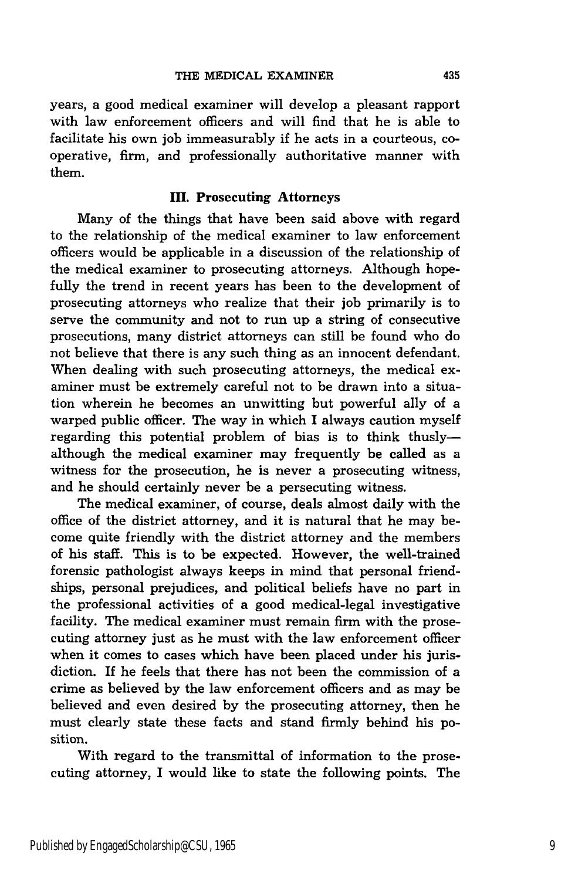years, a good medical examiner will develop a pleasant rapport with law enforcement officers and will find that he is able to facilitate his own job immeasurably if he acts in a courteous, cooperative, firm, and professionally authoritative manner with them.

#### **IH. Prosecuting Attorneys**

Many of the things that have been said above with regard to the relationship of the medical examiner to law enforcement officers would be applicable in a discussion of the relationship of the medical examiner to prosecuting attorneys. Although hopefully the trend in recent years has been to the development of prosecuting attorneys who realize that their job primarily is to serve the community and not to run up a string of consecutive prosecutions, many district attorneys can still be found who do not believe that there is any such thing as an innocent defendant. When dealing with such prosecuting attorneys, the medical examiner must be extremely careful not to be drawn into a situation wherein he becomes an unwitting but powerful ally of a warped public officer. The way in which I always caution myself regarding this potential problem of bias is to think thuslyalthough the medical examiner may frequently be called as a witness for the prosecution, he is never a prosecuting witness, and he should certainly never be a persecuting witness.

The medical examiner, of course, deals almost daily with the office of the district attorney, and it is natural that he may become quite friendly with the district attorney and the members of his staff. This is to be expected. However, the well-trained forensic pathologist always keeps in mind that personal friendships, personal prejudices, and political beliefs have no part in the professional activities of a good medical-legal investigative facility. The medical examiner must remain firm with the prosecuting attorney just as he must with the law enforcement officer when it comes to cases which have been placed under his jurisdiction. If he feels that there has not been the commission of a crime as believed by the law enforcement officers and as may be believed and even desired by the prosecuting attorney, then he must clearly state these facts and stand firmly behind his position.

With regard to the transmittal of information to the prosecuting attorney, I would like to state the following points. The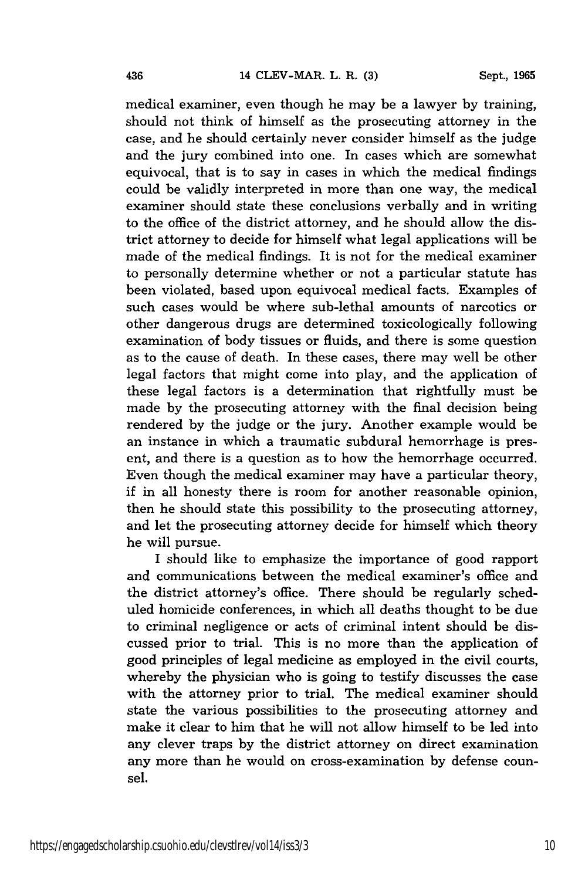medical examiner, even though he may be a lawyer by training, should not think of himself as the prosecuting attorney in the case, and he should certainly never consider himself as the judge and the jury combined into one. In cases which are somewhat equivocal, that is to say in cases in which the medical findings could be validly interpreted in more than one way, the medical examiner should state these conclusions verbally and in writing to the office of the district attorney, and he should allow the district attorney to decide for himself what legal applications will be made of the medical findings. It is not for the medical examiner to personally determine whether or not a particular statute has been violated, based upon equivocal medical facts. Examples of such cases would be where sub-lethal amounts of narcotics or other dangerous drugs are determined toxicologically following examination of body tissues or fluids, and there is some question as to the cause of death. In these cases, there may well be other legal factors that might come into play, and the application of these legal factors is a determination that rightfully must be made by the prosecuting attorney with the final decision being rendered by the judge or the jury. Another example would be an instance in which a traumatic subdural hemorrhage is present, and there is a question as to how the hemorrhage occurred. Even though the medical examiner may have a particular theory, if in all honesty there is room for another reasonable opinion, then he should state this possibility to the prosecuting attorney, and let the prosecuting attorney decide for himself which theory he will pursue.

I should like to emphasize the importance of good rapport and communications between the medical examiner's office and the district attorney's office. There should be regularly scheduled homicide conferences, in which all deaths thought to be due to criminal negligence or acts of criminal intent should be discussed prior to trial. This is no more than the application of good principles of legal medicine as employed in the civil courts, whereby the physician who is going to testify discusses the case with the attorney prior to trial. The medical examiner should state the various possibilities to the prosecuting attorney and make it clear to him that he will not allow himself to be led into any clever traps by the district attorney on direct examination any more than he would on cross-examination by defense counsel.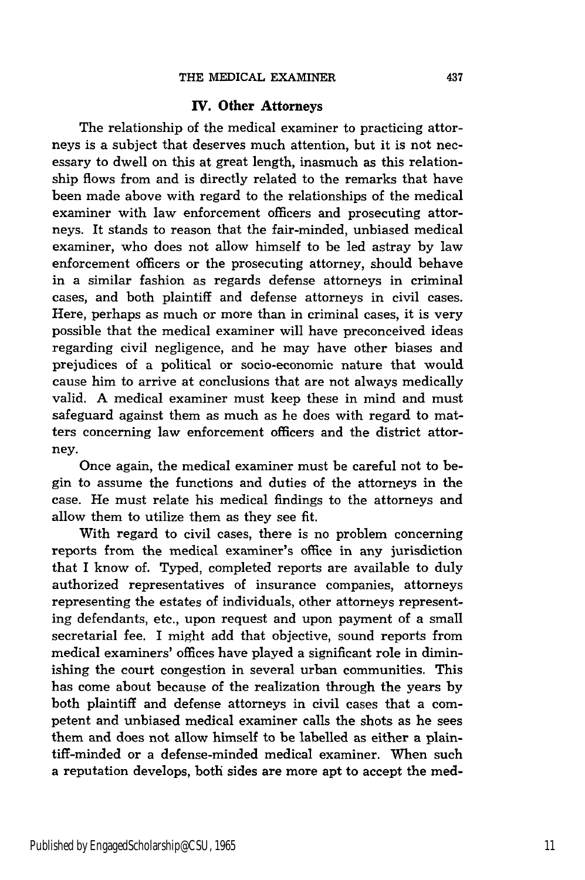#### **IV. Other Attorneys**

The relationship of the medical examiner to practicing attorneys is a subject that deserves much attention, but it is not necessary to dwell on this at great length, inasmuch as this relationship flows from and is directly related to the remarks that have been made above with regard to the relationships of the medical examiner with law enforcement officers and prosecuting attorneys. It stands to reason that the fair-minded, unbiased medical examiner, who does not allow himself to be led astray by law enforcement officers or the prosecuting attorney, should behave in a similar fashion as regards defense attorneys in criminal cases, and both plaintiff and defense attorneys in civil cases. Here, perhaps as much or more than in criminal cases, it is very possible that the medical examiner will have preconceived ideas regarding civil negligence, and he may have other biases and prejudices of a political or socio-economic nature that would cause him to arrive at conclusions that are not always medically valid. A medical examiner must keep these in mind and must safeguard against them as much as he does with regard to matters concerning law enforcement officers and the district attorney.

Once again, the medical examiner must be careful not to begin to assume the functions and duties of the attorneys in the case. He must relate his medical findings to the attorneys and allow them to utilize them as they see fit.

With regard to civil cases, there is no problem concerning reports from the medical examiner's office in any jurisdiction that I know of. Typed, completed reports are available to duly authorized representatives of insurance companies, attorneys representing the estates of individuals, other attorneys representing defendants, etc., upon request and upon payment of a small secretarial fee. I might add that objective, sound reports from medical examiners' offices have played a significant role in diminishing the court congestion in several urban communities. This has come about because of the realization through the years by both plaintiff and defense attorneys in civil cases that a competent and unbiased medical examiner calls the shots as he sees them and does not allow himself to be labelled as either a plaintiff-minded or a defense-minded medical examiner. When such a reputation develops, both sides are more apt to accept the med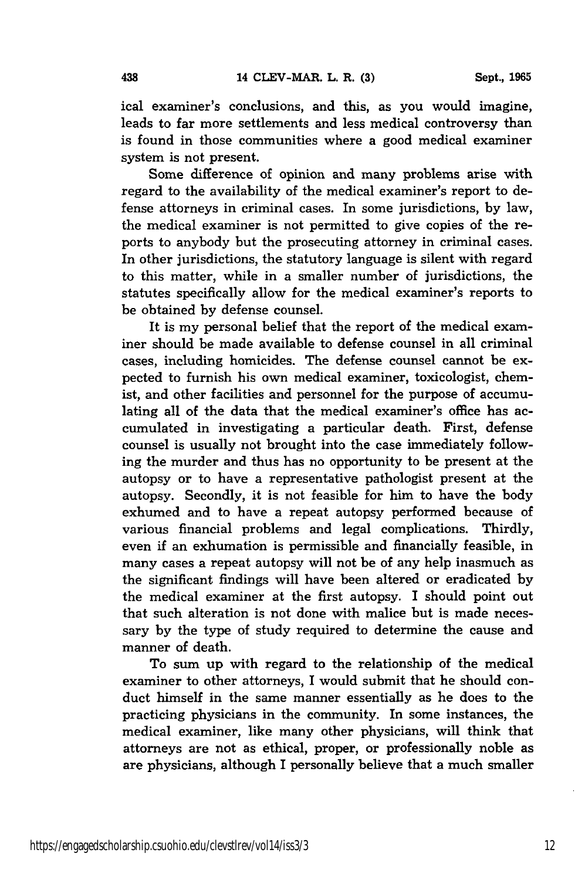ical examiner's conclusions, and this, as you would imagine, leads to far more settlements and less medical controversy than is found in those communities where a good medical examiner system is not present.

Some difference of opinion and many problems arise with regard to the availability of the medical examiner's report to defense attorneys in criminal cases. In some jurisdictions, by law, the medical examiner is not permitted to give copies of the reports to anybody but the prosecuting attorney in criminal cases. In other jurisdictions, the statutory language is silent with regard to this matter, while in a smaller number of jurisdictions, the statutes specifically allow for the medical examiner's reports to be obtained by defense counsel.

It is my personal belief that the report of the medical examiner should be made available to defense counsel in all criminal cases, including homicides. The defense counsel cannot be expected to furnish his own medical examiner, toxicologist, chemist, and other facilities and personnel for the purpose of accumulating all of the data that the medical examiner's office has accumulated in investigating a particular death. First, defense counsel is usually not brought into the case immediately following the murder and thus has no opportunity to be present at the autopsy or to have a representative pathologist present at the autopsy. Secondly, it is not feasible for him to have the body exhumed and to have a repeat autopsy performed because of various financial problems and legal complications. Thirdly, even if an exhumation is permissible and financially feasible, in many cases a repeat autopsy will not be of any help inasmuch as the significant findings will have been altered or eradicated by the medical examiner at the first autopsy. I should point out that such alteration is not done with malice but is made necessary by the type of study required to determine the cause and manner of death.

To sum up with regard to the relationship of the medical examiner to other attorneys, I would submit that he should conduct himself in the same manner essentially as he does to the practicing physicians in the community. In some instances, the medical examiner, like many other physicians, will think that attorneys are not as ethical, proper, or professionally noble as are physicians, although I personally believe that a much smaller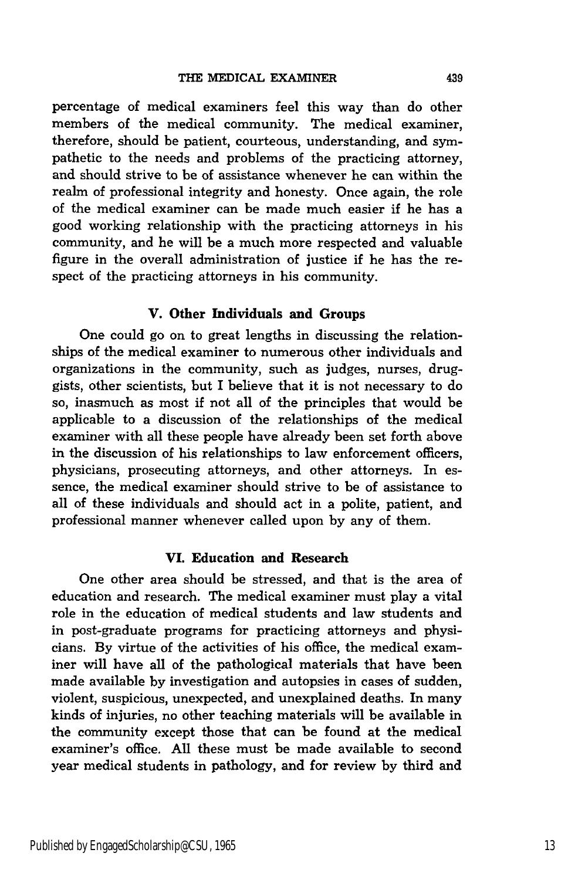percentage of medical examiners feel this way than do other members of the medical community. The medical examiner, therefore, should be patient, courteous, understanding, and sympathetic to the needs and problems of the practicing attorney, and should strive to be of assistance whenever he can within the realm of professional integrity and honesty. Once again, the role of the medical examiner can be made much easier if he has a good working relationship with the practicing attorneys in his community, and he will be a much more respected and valuable figure in the overall administration of justice if he has the respect of the practicing attorneys in his community.

#### V. Other Individuals **and Groups**

One could go on to great lengths in discussing the relationships of the medical examiner to numerous other individuals and organizations in the community, such as judges, nurses, druggists, other scientists, but I believe that it is not necessary to do so, inasmuch as most if not all of the principles that would be applicable to a discussion of the relationships of the medical examiner with all these people have already been set forth above in the discussion of his relationships to law enforcement officers, physicians, prosecuting attorneys, and other attorneys. In essence, the medical examiner should strive to be of assistance to all of these individuals and should act in a polite, patient, and professional manner whenever called upon **by** any of them.

#### **VI. Education and Research**

One other area should be stressed, and that is the area of education and research. The medical examiner must play a vital role in the education of medical students and law students and in post-graduate programs for practicing attorneys and physicians. **By** virtue of the activities of his office, the medical examiner will have all of the pathological materials that have been made available **by** investigation and autopsies in cases of sudden, violent, suspicious, unexpected, and unexplained deaths. In many kinds of injuries, no other teaching materials will be available in the community except those that can be found at the medical examiner's office. **All** these must be made available to second year medical students in pathology, and for review **by** third and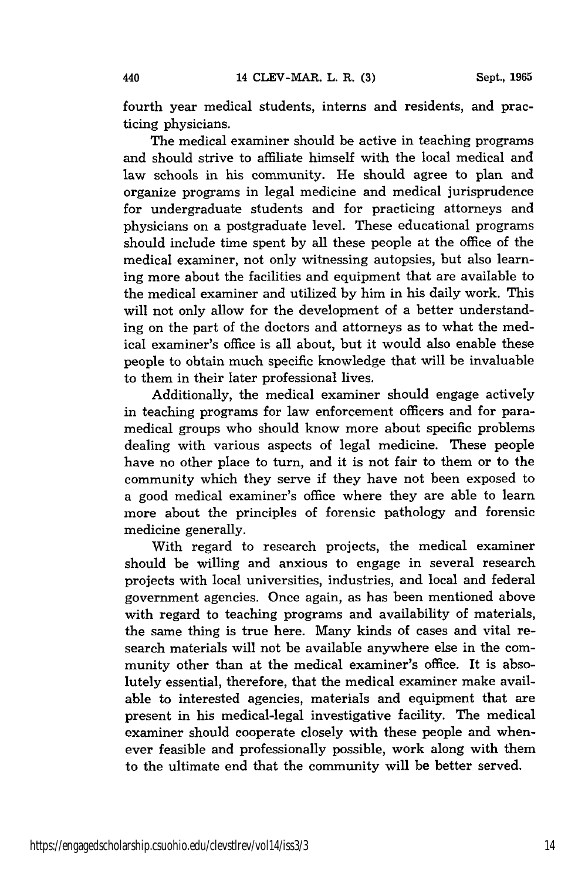fourth year medical students, interns and residents, and practicing physicians.

The medical examiner should be active in teaching programs and should strive to affiliate himself with the local medical and law schools in his community. He should agree to plan and organize programs in legal medicine and medical jurisprudence for undergraduate students and for practicing attorneys and physicians on a postgraduate level. These educational programs should include time spent by all these people at the office of the medical examiner, not only witnessing autopsies, but also learning more about the facilities and equipment that are available to the medical examiner and utilized by him in his daily work. This will not only allow for the development of a better understanding on the part of the doctors and attorneys as to what the medical examiner's office is all about, but it would also enable these people to obtain much specific knowledge that will be invaluable to them in their later professional lives.

Additionally, the medical examiner should engage actively in teaching programs for law enforcement officers and for paramedical groups who should know more about specific problems dealing with various aspects of legal medicine. These people have no other place to turn, and it is not fair to them or to the community which they serve if they have not been exposed to a good medical examiner's office where they are able to learn more about the principles of forensic pathology and forensic medicine generally.

With regard to research projects, the medical examiner should be willing and anxious to engage in several research projects with local universities, industries, and local and federal government agencies. Once again, as has been mentioned above with regard to teaching programs and availability of materials, the same thing is true here. Many kinds of cases and vital research materials will not be available anywhere else in the community other than at the medical examiner's office. It is absolutely essential, therefore, that the medical examiner make available to interested agencies, materials and equipment that are present in his medical-legal investigative facility. The medical examiner should cooperate closely with these people and whenever feasible and professionally possible, work along with them to the ultimate end that the community will be better served.